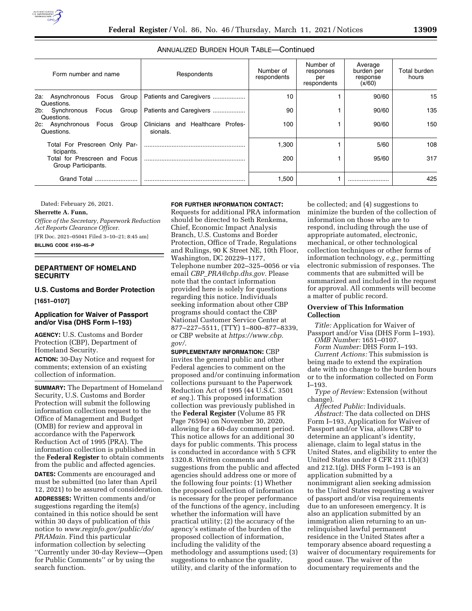| Form number and name                                                                                |                                            |             |  | Respondents                                   | Number of<br>respondents | Number of<br>responses<br>per<br>respondents | Average<br>burden per<br>response<br>(x/60) | Total burden<br>hours |
|-----------------------------------------------------------------------------------------------------|--------------------------------------------|-------------|--|-----------------------------------------------|--------------------------|----------------------------------------------|---------------------------------------------|-----------------------|
|                                                                                                     | 2a: Asynchronous Focus Group<br>Questions. |             |  | Patients and Caregivers                       | 10                       |                                              | 90/60                                       | 15                    |
|                                                                                                     | 2b: Synchronous<br>Questions.              | Focus Group |  | Patients and Caregivers                       | 90                       |                                              | 90/60                                       | 135                   |
|                                                                                                     | 2c: Asynchronous Focus Group<br>Questions. |             |  | Clinicians and Healthcare Profes-<br>sionals. | 100                      |                                              | 90/60                                       | 150                   |
| Total For Prescreen Only Par-<br>ticipants.<br>Total for Prescreen and Focus<br>Group Participants. |                                            |             |  |                                               | 1,300                    |                                              | 5/60                                        | 108                   |
|                                                                                                     |                                            |             |  |                                               | 200                      |                                              | 95/60                                       | 317                   |
| Grand Total                                                                                         |                                            |             |  |                                               | 1,500                    |                                              |                                             | 425                   |

# ANNUALIZED BURDEN HOUR TABLE—Continued

Dated: February 26, 2021.

## **Sherrette A. Funn,**

*Office of the Secretary, Paperwork Reduction Act Reports Clearance Officer.* 

[FR Doc. 2021–05041 Filed 3–10–21; 8:45 am]

**BILLING CODE 4150–45–P** 

## **DEPARTMENT OF HOMELAND SECURITY**

#### **U.S. Customs and Border Protection**

**[1651–0107]** 

### **Application for Waiver of Passport and/or Visa (DHS Form I–193)**

**AGENCY:** U.S. Customs and Border Protection (CBP), Department of Homeland Security.

**ACTION:** 30-Day Notice and request for comments; extension of an existing collection of information.

**SUMMARY:** The Department of Homeland Security, U.S. Customs and Border Protection will submit the following information collection request to the Office of Management and Budget (OMB) for review and approval in accordance with the Paperwork Reduction Act of 1995 (PRA). The information collection is published in the **Federal Register** to obtain comments from the public and affected agencies. **DATES:** Comments are encouraged and must be submitted (no later than April 12, 2021) to be assured of consideration. **ADDRESSES:** Written comments and/or suggestions regarding the item(s) contained in this notice should be sent within 30 days of publication of this notice to *[www.reginfo.gov/public/do/](http://www.reginfo.gov/public/do/PRAMain) [PRAMain](http://www.reginfo.gov/public/do/PRAMain)*. Find this particular information collection by selecting ''Currently under 30-day Review—Open for Public Comments'' or by using the search function.

## **FOR FURTHER INFORMATION CONTACT:**

Requests for additional PRA information should be directed to Seth Renkema, Chief, Economic Impact Analysis Branch, U.S. Customs and Border Protection, Office of Trade, Regulations and Rulings, 90 K Street NE, 10th Floor, Washington, DC 20229–1177, Telephone number 202–325–0056 or via email *CBP*\_*[PRA@cbp.dhs.gov.](mailto:CBP_PRA@cbp.dhs.gov)* Please note that the contact information provided here is solely for questions regarding this notice. Individuals seeking information about other CBP programs should contact the CBP National Customer Service Center at 877–227–5511, (TTY) 1–800–877–8339, or CBP website at *[https://www.cbp.](https://www.cbp.gov/)  [gov/.](https://www.cbp.gov/)* 

**SUPPLEMENTARY INFORMATION:** CBP invites the general public and other Federal agencies to comment on the proposed and/or continuing information collections pursuant to the Paperwork Reduction Act of 1995 (44 U.S.C. 3501 *et seq.*). This proposed information collection was previously published in the **Federal Register** (Volume 85 FR Page 76594) on November 30, 2020, allowing for a 60-day comment period. This notice allows for an additional 30 days for public comments. This process is conducted in accordance with 5 CFR 1320.8. Written comments and suggestions from the public and affected agencies should address one or more of the following four points: (1) Whether the proposed collection of information is necessary for the proper performance of the functions of the agency, including whether the information will have practical utility; (2) the accuracy of the agency's estimate of the burden of the proposed collection of information, including the validity of the methodology and assumptions used; (3) suggestions to enhance the quality, utility, and clarity of the information to

be collected; and (4) suggestions to minimize the burden of the collection of information on those who are to respond, including through the use of appropriate automated, electronic, mechanical, or other technological collection techniques or other forms of information technology, *e.g.,* permitting electronic submission of responses. The comments that are submitted will be summarized and included in the request for approval. All comments will become a matter of public record.

### **Overview of This Information Collection**

*Title:* Application for Waiver of Passport and/or Visa (DHS Form I–193). *OMB Number:* 1651–0107.

*Form Number:* DHS Form I–193.

*Current Actions:* This submission is being made to extend the expiration date with no change to the burden hours or to the information collected on Form I–193.

*Type of Review:* Extension (without change).

*Affected Public:* Individuals. *Abstract:* The data collected on DHS Form I–193, Application for Waiver of Passport and/or Visa, allows CBP to determine an applicant's identity, alienage, claim to legal status in the United States, and eligibility to enter the United States under 8 CFR 211.1(b)(3) and 212.1(g). DHS Form I–193 is an application submitted by a nonimmigrant alien seeking admission to the United States requesting a waiver of passport and/or visa requirements due to an unforeseen emergency. It is also an application submitted by an immigration alien returning to an unrelinquished lawful permanent residence in the United States after a temporary absence aboard requesting a waiver of documentary requirements for good cause. The waiver of the documentary requirements and the